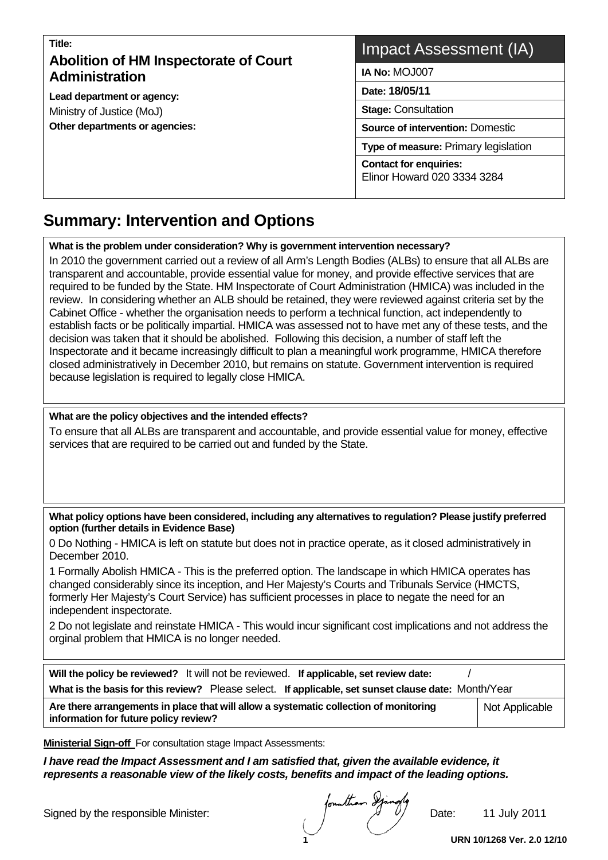# **Title: Abolition of HM Inspectorate of Court Administration**

**Lead department or agency:**  Ministry of Justice (MoJ) **Other departments or agencies:** 

# Impact Assessment (IA)

**IA No:** MOJ007

**Date: 18/05/11** 

**Stage:** Consultation

**Source of intervention:** Domestic

**Type of measure:** Primary legislation

**Contact for enquiries:**  Elinor Howard 020 3334 3284

#### **Summary: Intervention and Options**   $\overline{a}$

**What is the problem under consideration? Why is government intervention necessary?** 

In 2010 the government carried out a review of all Arm's Length Bodies (ALBs) to ensure that all ALBs are transparent and accountable, provide essential value for money, and provide effective services that are required to be funded by the State. HM Inspectorate of Court Administration (HMICA) was included in the review. In considering whether an ALB should be retained, they were reviewed against criteria set by the Cabinet Office - whether the organisation needs to perform a technical function, act independently to establish facts or be politically impartial. HMICA was assessed not to have met any of these tests, and the decision was taken that it should be abolished. Following this decision, a number of staff left the Inspectorate and it became increasingly difficult to plan a meaningful work programme, HMICA therefore closed administratively in December 2010, but remains on statute. Government intervention is required because legislation is required to legally close HMICA.

#### **What are the policy objectives and the intended effects?**

To ensure that all ALBs are transparent and accountable, and provide essential value for money, effective services that are required to be carried out and funded by the State.

**What policy options have been considered, including any alternatives to regulation? Please justify preferred option (further details in Evidence Base)** 

0 Do Nothing - HMICA is left on statute but does not in practice operate, as it closed administratively in December 2010.

1 Formally Abolish HMICA - This is the preferred option. The landscape in which HMICA operates has changed considerably since its inception, and Her Majesty's Courts and Tribunals Service (HMCTS, formerly Her Majesty's Court Service) has sufficient processes in place to negate the need for an independent inspectorate.

2 Do not legislate and reinstate HMICA - This would incur significant cost implications and not address the orginal problem that HMICA is no longer needed.

| Will the policy be reviewed? It will not be reviewed. If applicable, set review date:<br>What is the basis for this review? Please select. If applicable, set sunset clause date: Month/Year |  |  |  |  |  |
|----------------------------------------------------------------------------------------------------------------------------------------------------------------------------------------------|--|--|--|--|--|
| Are there arrangements in place that will allow a systematic collection of monitoring<br>Not Applicable<br>information for future policy review?                                             |  |  |  |  |  |

**Ministerial Sign-off** For consultation stage Impact Assessments:

*I have read the Impact Assessment and I am satisfied that, given the available evidence, it represents a reasonable view of the likely costs, benefits and impact of the leading options.* 

Signed by the responsible Minister:  $\mu$   $\mu$   $\mu$  Date: 11 July 2011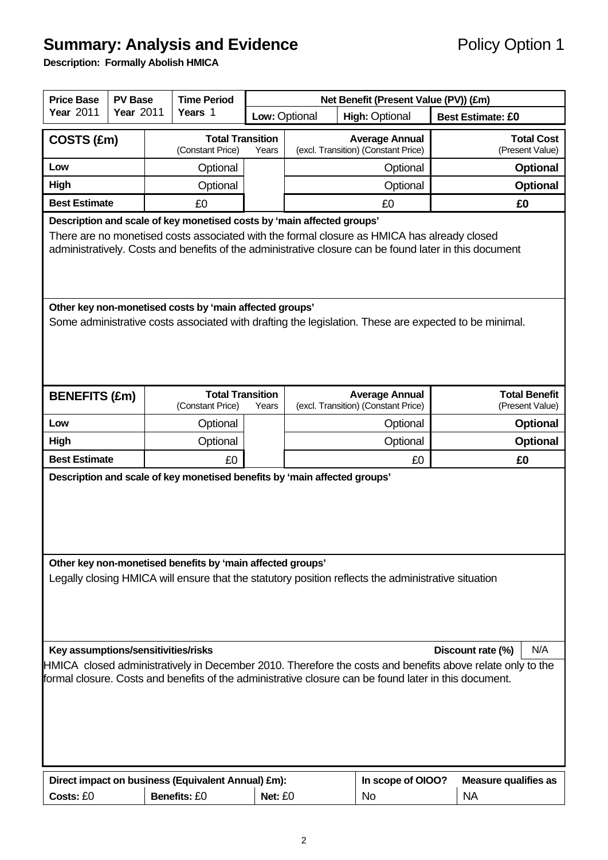# **Summary: Analysis and Evidence Policy Option 1**

**Description: Formally Abolish HMICA** 

| <b>Price Base</b>                                                                                                                                                                                                                                                                                                                                                                            | <b>PV Base</b>                                                                                                                                                   |  | <b>Time Period</b>                          | Net Benefit (Present Value (PV)) (£m) |                                        |                                                              |                          |                                         |  |  |
|----------------------------------------------------------------------------------------------------------------------------------------------------------------------------------------------------------------------------------------------------------------------------------------------------------------------------------------------------------------------------------------------|------------------------------------------------------------------------------------------------------------------------------------------------------------------|--|---------------------------------------------|---------------------------------------|----------------------------------------|--------------------------------------------------------------|--------------------------|-----------------------------------------|--|--|
| <b>Year 2011</b><br><b>Year 2011</b>                                                                                                                                                                                                                                                                                                                                                         |                                                                                                                                                                  |  | Years 1                                     |                                       | Low: Optional<br><b>High: Optional</b> |                                                              | <b>Best Estimate: £0</b> |                                         |  |  |
|                                                                                                                                                                                                                                                                                                                                                                                              | COSTS (£m)                                                                                                                                                       |  | <b>Total Transition</b><br>(Constant Price) | Years                                 |                                        | <b>Average Annual</b><br>(excl. Transition) (Constant Price) |                          | <b>Total Cost</b><br>(Present Value)    |  |  |
| Low                                                                                                                                                                                                                                                                                                                                                                                          |                                                                                                                                                                  |  | Optional                                    |                                       | Optional                               |                                                              |                          | <b>Optional</b>                         |  |  |
| High                                                                                                                                                                                                                                                                                                                                                                                         |                                                                                                                                                                  |  | Optional                                    |                                       | Optional                               |                                                              |                          |                                         |  |  |
| <b>Best Estimate</b>                                                                                                                                                                                                                                                                                                                                                                         |                                                                                                                                                                  |  | £0                                          |                                       |                                        | £0                                                           |                          |                                         |  |  |
| Description and scale of key monetised costs by 'main affected groups'<br>There are no monetised costs associated with the formal closure as HMICA has already closed<br>administratively. Costs and benefits of the administrative closure can be found later in this document                                                                                                              |                                                                                                                                                                  |  |                                             |                                       |                                        |                                                              |                          |                                         |  |  |
|                                                                                                                                                                                                                                                                                                                                                                                              | Other key non-monetised costs by 'main affected groups'<br>Some administrative costs associated with drafting the legislation. These are expected to be minimal. |  |                                             |                                       |                                        |                                                              |                          |                                         |  |  |
| <b>BENEFITS (£m)</b>                                                                                                                                                                                                                                                                                                                                                                         |                                                                                                                                                                  |  | <b>Total Transition</b><br>(Constant Price) | Years                                 |                                        | <b>Average Annual</b><br>(excl. Transition) (Constant Price) |                          | <b>Total Benefit</b><br>(Present Value) |  |  |
| Low                                                                                                                                                                                                                                                                                                                                                                                          |                                                                                                                                                                  |  | Optional                                    |                                       |                                        | Optional                                                     |                          | <b>Optional</b>                         |  |  |
| <b>High</b>                                                                                                                                                                                                                                                                                                                                                                                  |                                                                                                                                                                  |  | Optional                                    |                                       |                                        | Optional                                                     |                          | <b>Optional</b>                         |  |  |
| <b>Best Estimate</b>                                                                                                                                                                                                                                                                                                                                                                         |                                                                                                                                                                  |  | £0                                          |                                       |                                        | £0                                                           |                          | £0                                      |  |  |
|                                                                                                                                                                                                                                                                                                                                                                                              | Description and scale of key monetised benefits by 'main affected groups'<br>Other key non-monetised benefits by 'main affected groups'                          |  |                                             |                                       |                                        |                                                              |                          |                                         |  |  |
| Legally closing HMICA will ensure that the statutory position reflects the administrative situation<br>Key assumptions/sensitivities/risks<br>N/A<br>Discount rate (%)<br>HMICA closed administratively in December 2010. Therefore the costs and benefits above relate only to the<br>formal closure. Costs and benefits of the administrative closure can be found later in this document. |                                                                                                                                                                  |  |                                             |                                       |                                        |                                                              |                          |                                         |  |  |
| Direct impact on business (Equivalent Annual) £m):<br>In scope of OIOO?<br><b>Measure qualifies as</b>                                                                                                                                                                                                                                                                                       |                                                                                                                                                                  |  |                                             |                                       |                                        |                                                              |                          |                                         |  |  |
| Costs: £0                                                                                                                                                                                                                                                                                                                                                                                    |                                                                                                                                                                  |  | <b>Benefits: £0</b>                         | Net: £0                               |                                        | <b>No</b>                                                    |                          | <b>NA</b>                               |  |  |
|                                                                                                                                                                                                                                                                                                                                                                                              |                                                                                                                                                                  |  |                                             |                                       |                                        |                                                              |                          |                                         |  |  |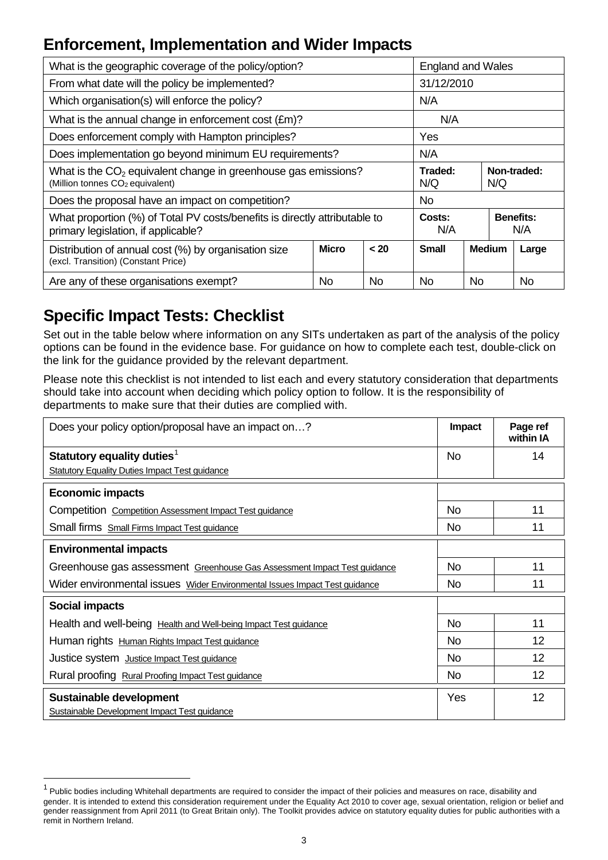# **Enforcement, Implementation and Wider Impacts**

| What is the geographic coverage of the policy/option?                                                             | <b>England and Wales</b>             |     |               |                         |  |  |  |
|-------------------------------------------------------------------------------------------------------------------|--------------------------------------|-----|---------------|-------------------------|--|--|--|
| From what date will the policy be implemented?                                                                    | 31/12/2010                           |     |               |                         |  |  |  |
| Which organisation(s) will enforce the policy?                                                                    | N/A                                  |     |               |                         |  |  |  |
| What is the annual change in enforcement cost (£m)?                                                               |                                      |     | N/A           |                         |  |  |  |
| Does enforcement comply with Hampton principles?                                                                  |                                      | Yes |               |                         |  |  |  |
| Does implementation go beyond minimum EU requirements?                                                            | N/A                                  |     |               |                         |  |  |  |
| What is the $CO2$ equivalent change in greenhouse gas emissions?<br>(Million tonnes CO <sub>2</sub> equivalent)   | Traded:<br>Non-traded:<br>N/Q<br>N/Q |     |               |                         |  |  |  |
| Does the proposal have an impact on competition?                                                                  | <b>No</b>                            |     |               |                         |  |  |  |
| What proportion (%) of Total PV costs/benefits is directly attributable to<br>primary legislation, if applicable? | Costs:<br>N/A                        |     |               | <b>Benefits:</b><br>N/A |  |  |  |
| Distribution of annual cost (%) by organisation size<br>(excl. Transition) (Constant Price)                       | <b>Small</b>                         |     | <b>Medium</b> | Large                   |  |  |  |
| Are any of these organisations exempt?<br>N <sub>o</sub><br><b>No</b><br>No<br>No<br>No.                          |                                      |     |               |                         |  |  |  |

# **Specific Impact Tests: Checklist**

l

Set out in the table below where information on any SITs undertaken as part of the analysis of the policy options can be found in the evidence base. For guidance on how to complete each test, double-click on the link for the guidance provided by the relevant department.

Please note this checklist is not intended to list each and every statutory consideration that departments should take into account when deciding which policy option to follow. It is the responsibility of departments to make sure that their duties are complied with.

| Does your policy option/proposal have an impact on?                        | Impact    | Page ref<br>within IA |
|----------------------------------------------------------------------------|-----------|-----------------------|
| Statutory equality duties <sup>1</sup>                                     | No.       | 14                    |
| <b>Statutory Equality Duties Impact Test guidance</b>                      |           |                       |
| <b>Economic impacts</b>                                                    |           |                       |
| Competition Competition Assessment Impact Test guidance                    | No.       | 11                    |
| Small firms Small Firms Impact Test guidance                               | No        | 11                    |
| <b>Environmental impacts</b>                                               |           |                       |
| Greenhouse gas assessment Greenhouse Gas Assessment Impact Test guidance   | No.       | 11                    |
| Wider environmental issues Wider Environmental Issues Impact Test guidance | <b>No</b> | 11                    |
| <b>Social impacts</b>                                                      |           |                       |
| Health and well-being Health and Well-being Impact Test guidance           | No.       | 11                    |
| Human rights Human Rights Impact Test guidance                             | <b>No</b> | 12                    |
| Justice system Justice Impact Test guidance                                | <b>No</b> | 12                    |
| Rural proofing Rural Proofing Impact Test guidance                         | No.       | 12                    |
| Sustainable development<br>Sustainable Development Impact Test guidance    | Yes       | 12                    |

<span id="page-2-0"></span> $1$  Public bodies including Whitehall departments are required to consider the impact of their policies and measures on race, disability and gender. It is intended to extend this consideration requirement under the Equality Act 2010 to cover age, sexual orientation, religion or belief and gender reassignment from April 2011 (to Great Britain only). The Toolkit provides advice on statutory equality duties for public authorities with a remit in Northern Ireland.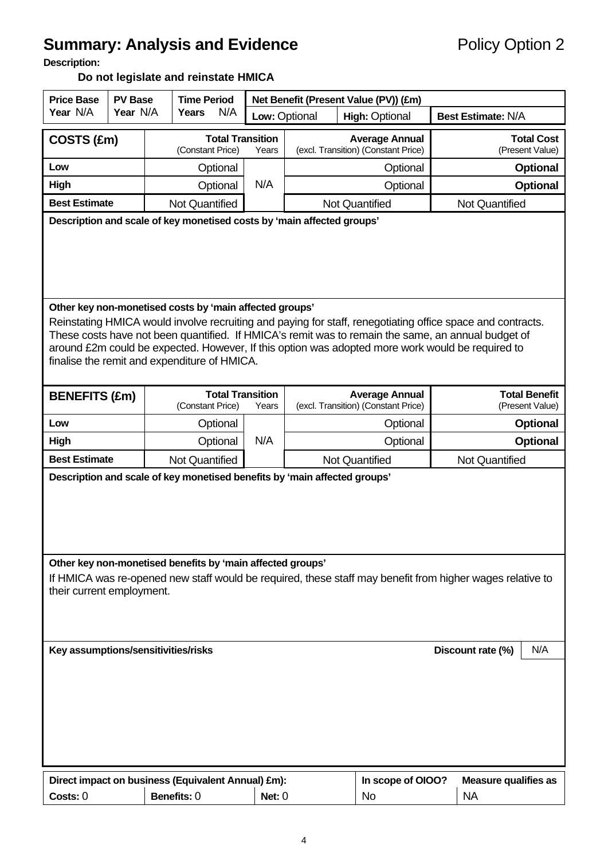# **Summary: Analysis and Evidence Policy Option 2**

**Description:** 

# **Do not legislate and reinstate HMICA**

| <b>Price Base</b><br><b>PV Base</b>                                                                                                                                                                                                                                               |                                                                                                                                                                                                                                                                                                                                                                                                                                 | <b>Time Period</b> |                                             | Net Benefit (Present Value (PV)) (£m) |                                        |                                                              |                                         |  |  |  |
|-----------------------------------------------------------------------------------------------------------------------------------------------------------------------------------------------------------------------------------------------------------------------------------|---------------------------------------------------------------------------------------------------------------------------------------------------------------------------------------------------------------------------------------------------------------------------------------------------------------------------------------------------------------------------------------------------------------------------------|--------------------|---------------------------------------------|---------------------------------------|----------------------------------------|--------------------------------------------------------------|-----------------------------------------|--|--|--|
| Year N/A                                                                                                                                                                                                                                                                          | Year N/A                                                                                                                                                                                                                                                                                                                                                                                                                        |                    | N/A<br>Years                                |                                       | Low: Optional<br><b>High: Optional</b> |                                                              | <b>Best Estimate: N/A</b>               |  |  |  |
|                                                                                                                                                                                                                                                                                   | COSTS (£m)<br>(Constant Price)                                                                                                                                                                                                                                                                                                                                                                                                  |                    | <b>Total Transition</b>                     | Years                                 |                                        | <b>Average Annual</b><br>(excl. Transition) (Constant Price) | <b>Total Cost</b><br>(Present Value)    |  |  |  |
| Low                                                                                                                                                                                                                                                                               |                                                                                                                                                                                                                                                                                                                                                                                                                                 |                    | Optional                                    |                                       |                                        | Optional                                                     | <b>Optional</b>                         |  |  |  |
| High                                                                                                                                                                                                                                                                              |                                                                                                                                                                                                                                                                                                                                                                                                                                 |                    | Optional                                    | N/A                                   |                                        | Optional                                                     | <b>Optional</b>                         |  |  |  |
| <b>Best Estimate</b>                                                                                                                                                                                                                                                              |                                                                                                                                                                                                                                                                                                                                                                                                                                 |                    | <b>Not Quantified</b>                       |                                       |                                        | <b>Not Quantified</b>                                        | <b>Not Quantified</b>                   |  |  |  |
| Description and scale of key monetised costs by 'main affected groups'                                                                                                                                                                                                            |                                                                                                                                                                                                                                                                                                                                                                                                                                 |                    |                                             |                                       |                                        |                                                              |                                         |  |  |  |
|                                                                                                                                                                                                                                                                                   | Other key non-monetised costs by 'main affected groups'<br>Reinstating HMICA would involve recruiting and paying for staff, renegotiating office space and contracts.<br>These costs have not been quantified. If HMICA's remit was to remain the same, an annual budget of<br>around £2m could be expected. However, If this option was adopted more work would be required to<br>finalise the remit and expenditure of HMICA. |                    |                                             |                                       |                                        |                                                              |                                         |  |  |  |
| <b>BENEFITS (£m)</b>                                                                                                                                                                                                                                                              |                                                                                                                                                                                                                                                                                                                                                                                                                                 |                    | <b>Total Transition</b><br>(Constant Price) | Years                                 |                                        | <b>Average Annual</b><br>(excl. Transition) (Constant Price) | <b>Total Benefit</b><br>(Present Value) |  |  |  |
| Low                                                                                                                                                                                                                                                                               |                                                                                                                                                                                                                                                                                                                                                                                                                                 |                    | Optional                                    |                                       |                                        | Optional                                                     | <b>Optional</b>                         |  |  |  |
| High                                                                                                                                                                                                                                                                              |                                                                                                                                                                                                                                                                                                                                                                                                                                 |                    | Optional                                    | N/A                                   |                                        | Optional                                                     | <b>Optional</b>                         |  |  |  |
| <b>Best Estimate</b>                                                                                                                                                                                                                                                              |                                                                                                                                                                                                                                                                                                                                                                                                                                 |                    | <b>Not Quantified</b>                       |                                       |                                        | <b>Not Quantified</b>                                        | <b>Not Quantified</b>                   |  |  |  |
| Description and scale of key monetised benefits by 'main affected groups'<br>Other key non-monetised benefits by 'main affected groups'<br>If HMICA was re-opened new staff would be required, these staff may benefit from higher wages relative to<br>their current employment. |                                                                                                                                                                                                                                                                                                                                                                                                                                 |                    |                                             |                                       |                                        |                                                              |                                         |  |  |  |
| Key assumptions/sensitivities/risks<br>N/A<br>Discount rate (%)                                                                                                                                                                                                                   |                                                                                                                                                                                                                                                                                                                                                                                                                                 |                    |                                             |                                       |                                        |                                                              |                                         |  |  |  |
| Direct impact on business (Equivalent Annual) £m):<br>In scope of OIOO?<br><b>Measure qualifies as</b>                                                                                                                                                                            |                                                                                                                                                                                                                                                                                                                                                                                                                                 |                    |                                             |                                       |                                        |                                                              |                                         |  |  |  |
| Benefits: 0<br><b>NA</b><br>Costs: 0<br>Net: $0$<br><b>No</b>                                                                                                                                                                                                                     |                                                                                                                                                                                                                                                                                                                                                                                                                                 |                    |                                             |                                       |                                        |                                                              |                                         |  |  |  |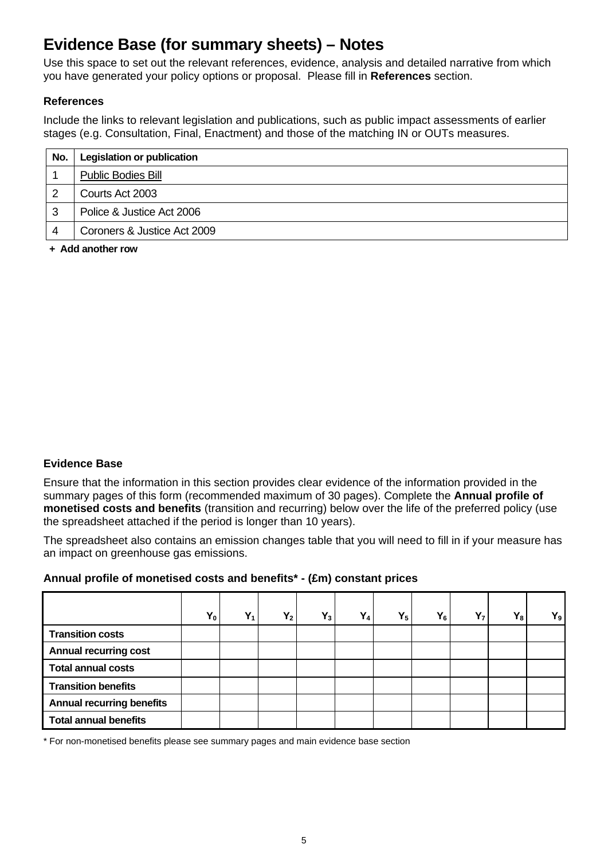# **Evidence Base (for summary sheets) – Notes**

Use this space to set out the relevant references, evidence, analysis and detailed narrative from which you have generated your policy options or proposal. Please fill in **References** section.

#### **References**

Include the links to relevant legislation and publications, such as public impact assessments of earlier stages (e.g. Consultation, Final, Enactment) and those of the matching IN or OUTs measures.

| No. | <b>Legislation or publication</b> |
|-----|-----------------------------------|
|     | <b>Public Bodies Bill</b>         |
|     | Courts Act 2003                   |
| 3   | Police & Justice Act 2006         |
|     | Coroners & Justice Act 2009       |

**+ Add another row** 

#### **Evidence Base**

Ensure that the information in this section provides clear evidence of the information provided in the summary pages of this form (recommended maximum of 30 pages). Complete the **Annual profile of monetised costs and benefits** (transition and recurring) below over the life of the preferred policy (use the spreadsheet attached if the period is longer than 10 years).

The spreadsheet also contains an emission changes table that you will need to fill in if your measure has an impact on greenhouse gas emissions.

#### **Annual profile of monetised costs and benefits\* - (£m) constant prices**

|                                  | $Y_0$ | v<br>T 1 | $Y_2$ | $Y_3$ | $Y_4$ | $Y_5$ | $Y_6$ | Y <sub>7</sub> | $Y_8$ | $Y_9$ |
|----------------------------------|-------|----------|-------|-------|-------|-------|-------|----------------|-------|-------|
| <b>Transition costs</b>          |       |          |       |       |       |       |       |                |       |       |
| <b>Annual recurring cost</b>     |       |          |       |       |       |       |       |                |       |       |
| <b>Total annual costs</b>        |       |          |       |       |       |       |       |                |       |       |
| <b>Transition benefits</b>       |       |          |       |       |       |       |       |                |       |       |
| <b>Annual recurring benefits</b> |       |          |       |       |       |       |       |                |       |       |
| <b>Total annual benefits</b>     |       |          |       |       |       |       |       |                |       |       |

\* For non-monetised benefits please see summary pages and main evidence base section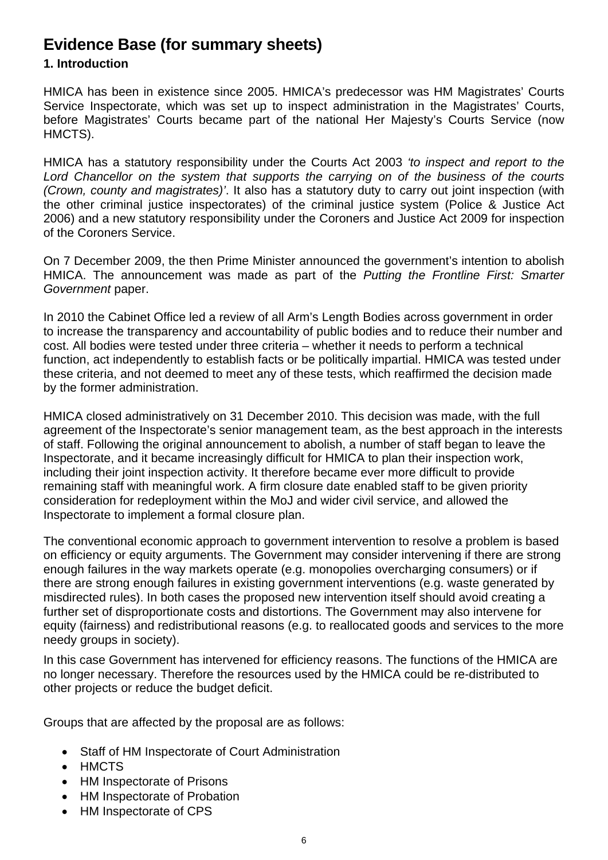# **Evidence Base (for summary sheets)**

# **1. Introduction**

HMICA has been in existence since 2005. HMICA's predecessor was HM Magistrates' Courts Service Inspectorate, which was set up to inspect administration in the Magistrates' Courts, before Magistrates' Courts became part of the national Her Majesty's Courts Service (now HMCTS).

HMICA has a statutory responsibility under the Courts Act 2003 *'to inspect and report to the Lord Chancellor on the system that supports the carrying on of the business of the courts (Crown, county and magistrates)'*. It also has a statutory duty to carry out joint inspection (with the other criminal justice inspectorates) of the criminal justice system (Police & Justice Act 2006) and a new statutory responsibility under the Coroners and Justice Act 2009 for inspection of the Coroners Service.

On 7 December 2009, the then Prime Minister announced the government's intention to abolish HMICA. The announcement was made as part of the *Putting the Frontline First: Smarter Government* paper.

In 2010 the Cabinet Office led a review of all Arm's Length Bodies across government in order to increase the transparency and accountability of public bodies and to reduce their number and cost. All bodies were tested under three criteria – whether it needs to perform a technical function, act independently to establish facts or be politically impartial. HMICA was tested under these criteria, and not deemed to meet any of these tests, which reaffirmed the decision made by the former administration.

HMICA closed administratively on 31 December 2010. This decision was made, with the full agreement of the Inspectorate's senior management team, as the best approach in the interests of staff. Following the original announcement to abolish, a number of staff began to leave the Inspectorate, and it became increasingly difficult for HMICA to plan their inspection work, including their joint inspection activity. It therefore became ever more difficult to provide remaining staff with meaningful work. A firm closure date enabled staff to be given priority consideration for redeployment within the MoJ and wider civil service, and allowed the Inspectorate to implement a formal closure plan.

The conventional economic approach to government intervention to resolve a problem is based on efficiency or equity arguments. The Government may consider intervening if there are strong enough failures in the way markets operate (e.g. monopolies overcharging consumers) or if there are strong enough failures in existing government interventions (e.g. waste generated by misdirected rules). In both cases the proposed new intervention itself should avoid creating a further set of disproportionate costs and distortions. The Government may also intervene for equity (fairness) and redistributional reasons (e.g. to reallocated goods and services to the more needy groups in society).

In this case Government has intervened for efficiency reasons. The functions of the HMICA are no longer necessary. Therefore the resources used by the HMICA could be re-distributed to other projects or reduce the budget deficit.

Groups that are affected by the proposal are as follows:

- Staff of HM Inspectorate of Court Administration
- HMCTS
- HM Inspectorate of Prisons
- HM Inspectorate of Probation
- HM Inspectorate of CPS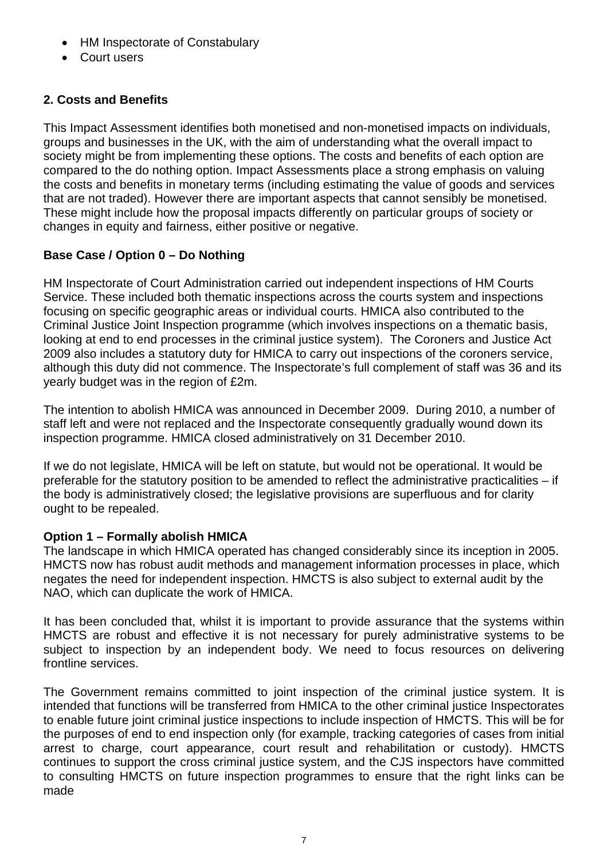- HM Inspectorate of Constabulary
- Court users

# **2. Costs and Benefits**

This Impact Assessment identifies both monetised and non-monetised impacts on individuals, groups and businesses in the UK, with the aim of understanding what the overall impact to society might be from implementing these options. The costs and benefits of each option are compared to the do nothing option. Impact Assessments place a strong emphasis on valuing the costs and benefits in monetary terms (including estimating the value of goods and services that are not traded). However there are important aspects that cannot sensibly be monetised. These might include how the proposal impacts differently on particular groups of society or changes in equity and fairness, either positive or negative.

# **Base Case / Option 0 – Do Nothing**

HM Inspectorate of Court Administration carried out independent inspections of HM Courts Service. These included both thematic inspections across the courts system and inspections focusing on specific geographic areas or individual courts. HMICA also contributed to the Criminal Justice Joint Inspection programme (which involves inspections on a thematic basis, looking at end to end processes in the criminal justice system). The Coroners and Justice Act 2009 also includes a statutory duty for HMICA to carry out inspections of the coroners service, although this duty did not commence. The Inspectorate's full complement of staff was 36 and its yearly budget was in the region of £2m.

The intention to abolish HMICA was announced in December 2009. During 2010, a number of staff left and were not replaced and the Inspectorate consequently gradually wound down its inspection programme. HMICA closed administratively on 31 December 2010.

If we do not legislate, HMICA will be left on statute, but would not be operational. It would be preferable for the statutory position to be amended to reflect the administrative practicalities – if the body is administratively closed; the legislative provisions are superfluous and for clarity ought to be repealed.

# **Option 1 – Formally abolish HMICA**

The landscape in which HMICA operated has changed considerably since its inception in 2005. HMCTS now has robust audit methods and management information processes in place, which negates the need for independent inspection. HMCTS is also subject to external audit by the NAO, which can duplicate the work of HMICA.

It has been concluded that, whilst it is important to provide assurance that the systems within HMCTS are robust and effective it is not necessary for purely administrative systems to be subject to inspection by an independent body. We need to focus resources on delivering frontline services.

The Government remains committed to joint inspection of the criminal justice system. It is intended that functions will be transferred from HMICA to the other criminal justice Inspectorates to enable future joint criminal justice inspections to include inspection of HMCTS. This will be for the purposes of end to end inspection only (for example, tracking categories of cases from initial arrest to charge, court appearance, court result and rehabilitation or custody). HMCTS continues to support the cross criminal justice system, and the CJS inspectors have committed to consulting HMCTS on future inspection programmes to ensure that the right links can be made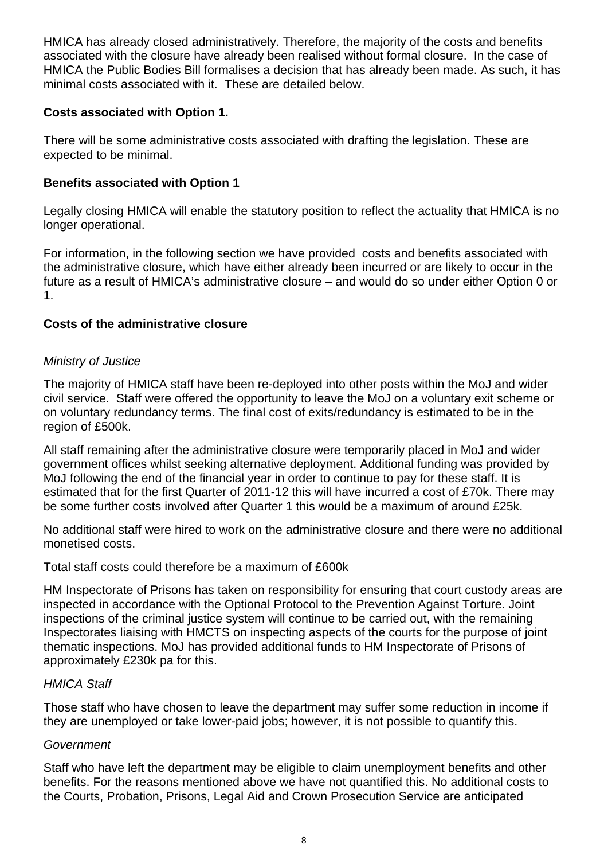HMICA has already closed administratively. Therefore, the majority of the costs and benefits associated with the closure have already been realised without formal closure. In the case of HMICA the Public Bodies Bill formalises a decision that has already been made. As such, it has minimal costs associated with it. These are detailed below.

## **Costs associated with Option 1.**

There will be some administrative costs associated with drafting the legislation. These are expected to be minimal.

## **Benefits associated with Option 1**

Legally closing HMICA will enable the statutory position to reflect the actuality that HMICA is no longer operational.

For information, in the following section we have provided costs and benefits associated with the administrative closure, which have either already been incurred or are likely to occur in the future as a result of HMICA's administrative closure – and would do so under either Option 0 or 1.

## **Costs of the administrative closure**

#### *Ministry of Justice*

The majority of HMICA staff have been re-deployed into other posts within the MoJ and wider civil service. Staff were offered the opportunity to leave the MoJ on a voluntary exit scheme or on voluntary redundancy terms. The final cost of exits/redundancy is estimated to be in the region of £500k.

All staff remaining after the administrative closure were temporarily placed in MoJ and wider government offices whilst seeking alternative deployment. Additional funding was provided by MoJ following the end of the financial year in order to continue to pay for these staff. It is estimated that for the first Quarter of 2011-12 this will have incurred a cost of £70k. There may be some further costs involved after Quarter 1 this would be a maximum of around £25k.

No additional staff were hired to work on the administrative closure and there were no additional monetised costs.

Total staff costs could therefore be a maximum of £600k

HM Inspectorate of Prisons has taken on responsibility for ensuring that court custody areas are inspected in accordance with the Optional Protocol to the Prevention Against Torture. Joint inspections of the criminal justice system will continue to be carried out, with the remaining Inspectorates liaising with HMCTS on inspecting aspects of the courts for the purpose of joint thematic inspections. MoJ has provided additional funds to HM Inspectorate of Prisons of approximately £230k pa for this.

#### *HMICA Staff*

Those staff who have chosen to leave the department may suffer some reduction in income if they are unemployed or take lower-paid jobs; however, it is not possible to quantify this.

#### *Government*

Staff who have left the department may be eligible to claim unemployment benefits and other benefits. For the reasons mentioned above we have not quantified this. No additional costs to the Courts, Probation, Prisons, Legal Aid and Crown Prosecution Service are anticipated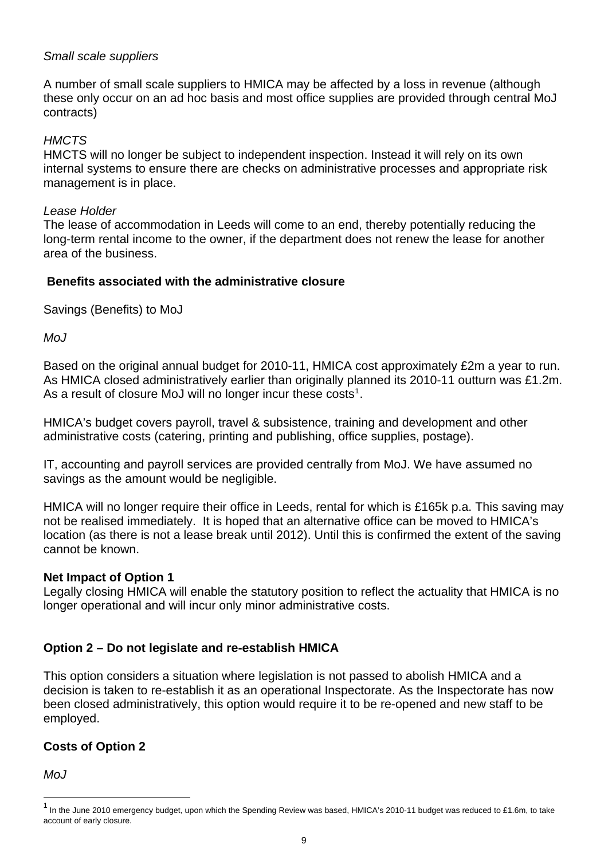## *Small scale suppliers*

A number of small scale suppliers to HMICA may be affected by a loss in revenue (although these only occur on an ad hoc basis and most office supplies are provided through central MoJ contracts)

## *HMCTS*

HMCTS will no longer be subject to independent inspection. Instead it will rely on its own internal systems to ensure there are checks on administrative processes and appropriate risk management is in place.

#### *Lease Holder*

The lease of accommodation in Leeds will come to an end, thereby potentially reducing the long-term rental income to the owner, if the department does not renew the lease for another area of the business.

#### **Benefits associated with the administrative closure**

Savings (Benefits) to MoJ

*MoJ* 

Based on the original annual budget for 2010-11, HMICA cost approximately £2m a year to run. As HMICA closed administratively earlier than originally planned its 2010-11 outturn was £1.2m. As a result of closure MoJ will no longer incur these costs<sup>[1](#page-8-0)</sup>.

HMICA's budget covers payroll, travel & subsistence, training and development and other administrative costs (catering, printing and publishing, office supplies, postage).

IT, accounting and payroll services are provided centrally from MoJ. We have assumed no savings as the amount would be negligible.

HMICA will no longer require their office in Leeds, rental for which is £165k p.a. This saving may not be realised immediately. It is hoped that an alternative office can be moved to HMICA's location (as there is not a lease break until 2012). Until this is confirmed the extent of the saving cannot be known.

#### **Net Impact of Option 1**

Legally closing HMICA will enable the statutory position to reflect the actuality that HMICA is no longer operational and will incur only minor administrative costs.

#### **Option 2 – Do not legislate and re-establish HMICA**

This option considers a situation where legislation is not passed to abolish HMICA and a decision is taken to re-establish it as an operational Inspectorate. As the Inspectorate has now been closed administratively, this option would require it to be re-opened and new staff to be employed.

# **Costs of Option 2**

 $M<sub>0</sub>$ 

l

<span id="page-8-0"></span><sup>&</sup>lt;sup>1</sup> In the June 2010 emergency budget, upon which the Spending Review was based, HMICA's 2010-11 budget was reduced to £1.6m, to take account of early closure.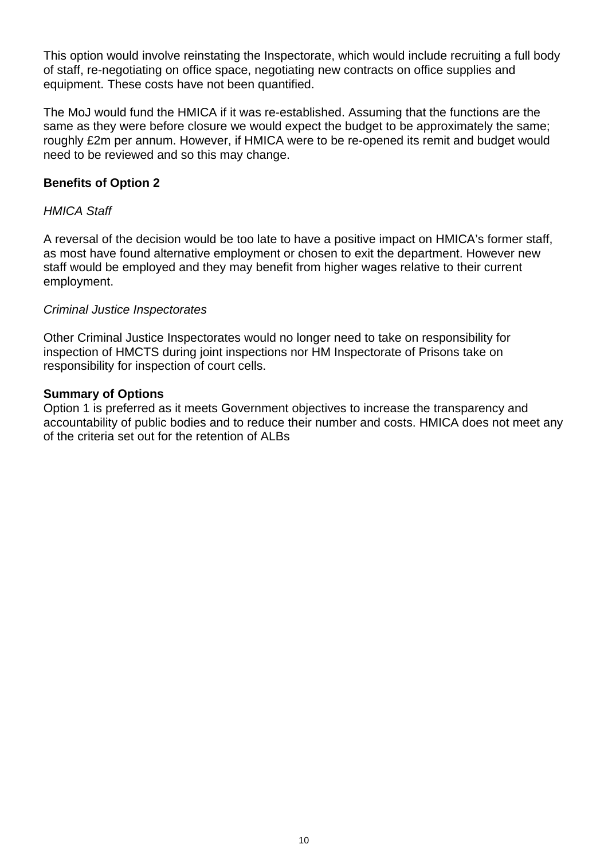This option would involve reinstating the Inspectorate, which would include recruiting a full body of staff, re-negotiating on office space, negotiating new contracts on office supplies and equipment. These costs have not been quantified.

The MoJ would fund the HMICA if it was re-established. Assuming that the functions are the same as they were before closure we would expect the budget to be approximately the same; roughly £2m per annum. However, if HMICA were to be re-opened its remit and budget would need to be reviewed and so this may change.

#### **Benefits of Option 2**

#### *HMICA Staff*

A reversal of the decision would be too late to have a positive impact on HMICA's former staff, as most have found alternative employment or chosen to exit the department. However new staff would be employed and they may benefit from higher wages relative to their current employment.

#### *Criminal Justice Inspectorates*

Other Criminal Justice Inspectorates would no longer need to take on responsibility for inspection of HMCTS during joint inspections nor HM Inspectorate of Prisons take on responsibility for inspection of court cells.

#### **Summary of Options**

Option 1 is preferred as it meets Government objectives to increase the transparency and accountability of public bodies and to reduce their number and costs. HMICA does not meet any of the criteria set out for the retention of ALBs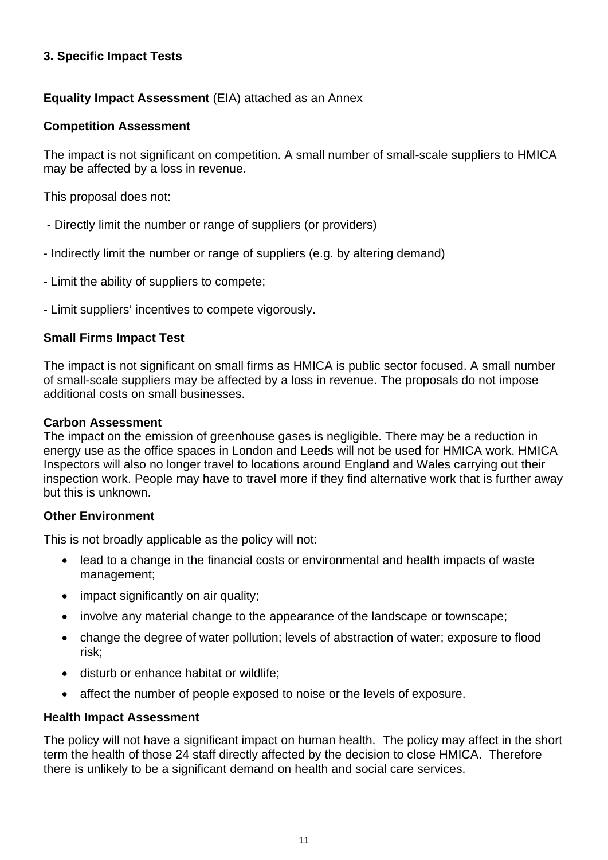# **3. Specific Impact Tests**

# **Equality Impact Assessment** (EIA) attached as an Annex

### **Competition Assessment**

The impact is not significant on competition. A small number of small-scale suppliers to HMICA may be affected by a loss in revenue.

This proposal does not:

- Directly limit the number or range of suppliers (or providers)
- Indirectly limit the number or range of suppliers (e.g. by altering demand)
- Limit the ability of suppliers to compete;
- Limit suppliers' incentives to compete vigorously.

# **Small Firms Impact Test**

The impact is not significant on small firms as HMICA is public sector focused. A small number of small-scale suppliers may be affected by a loss in revenue. The proposals do not impose additional costs on small businesses.

#### **Carbon Assessment**

The impact on the emission of greenhouse gases is negligible. There may be a reduction in energy use as the office spaces in London and Leeds will not be used for HMICA work. HMICA Inspectors will also no longer travel to locations around England and Wales carrying out their inspection work. People may have to travel more if they find alternative work that is further away but this is unknown.

#### **Other Environment**

This is not broadly applicable as the policy will not:

- lead to a change in the financial costs or environmental and health impacts of waste management;
- impact significantly on air quality;
- involve any material change to the appearance of the landscape or townscape;
- change the degree of water pollution; levels of abstraction of water; exposure to flood risk;
- disturb or enhance habitat or wildlife;
- affect the number of people exposed to noise or the levels of exposure.

#### **Health Impact Assessment**

The policy will not have a significant impact on human health. The policy may affect in the short term the health of those 24 staff directly affected by the decision to close HMICA. Therefore there is unlikely to be a significant demand on health and social care services.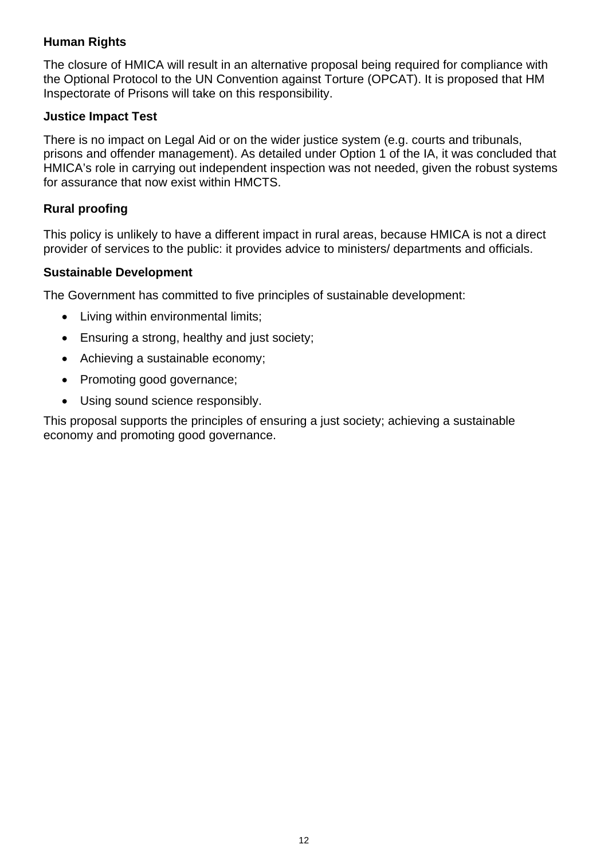# **Human Rights**

The closure of HMICA will result in an alternative proposal being required for compliance with the Optional Protocol to the UN Convention against Torture (OPCAT). It is proposed that HM Inspectorate of Prisons will take on this responsibility.

### **Justice Impact Test**

There is no impact on Legal Aid or on the wider justice system (e.g. courts and tribunals, prisons and offender management). As detailed under Option 1 of the IA, it was concluded that HMICA's role in carrying out independent inspection was not needed, given the robust systems for assurance that now exist within HMCTS.

## **Rural proofing**

This policy is unlikely to have a different impact in rural areas, because HMICA is not a direct provider of services to the public: it provides advice to ministers/ departments and officials.

## **Sustainable Development**

The Government has committed to five principles of sustainable development:

- Living within environmental limits;
- **Ensuring a strong, healthy and just society;**
- Achieving a sustainable economy;
- Promoting good governance;
- Using sound science responsibly.

This proposal supports the principles of ensuring a just society; achieving a sustainable economy and promoting good governance.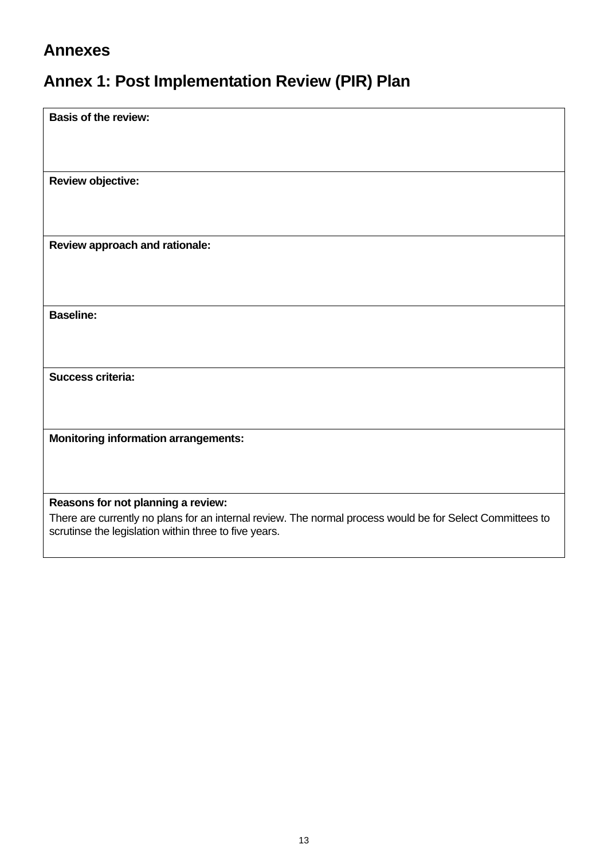# **Annexes**

# **Annex 1: Post Implementation Review (PIR) Plan**

| <b>Basis of the review:</b>                                                                               |
|-----------------------------------------------------------------------------------------------------------|
|                                                                                                           |
|                                                                                                           |
|                                                                                                           |
| <b>Review objective:</b>                                                                                  |
|                                                                                                           |
|                                                                                                           |
|                                                                                                           |
| Review approach and rationale:                                                                            |
|                                                                                                           |
|                                                                                                           |
|                                                                                                           |
| <b>Baseline:</b>                                                                                          |
|                                                                                                           |
|                                                                                                           |
|                                                                                                           |
| Success criteria:                                                                                         |
|                                                                                                           |
|                                                                                                           |
| <b>Monitoring information arrangements:</b>                                                               |
|                                                                                                           |
|                                                                                                           |
|                                                                                                           |
| Reasons for not planning a review:                                                                        |
| There are currently no plans for an internal review. The normal process would be for Select Committees to |
| scrutinse the legislation within three to five years.                                                     |
|                                                                                                           |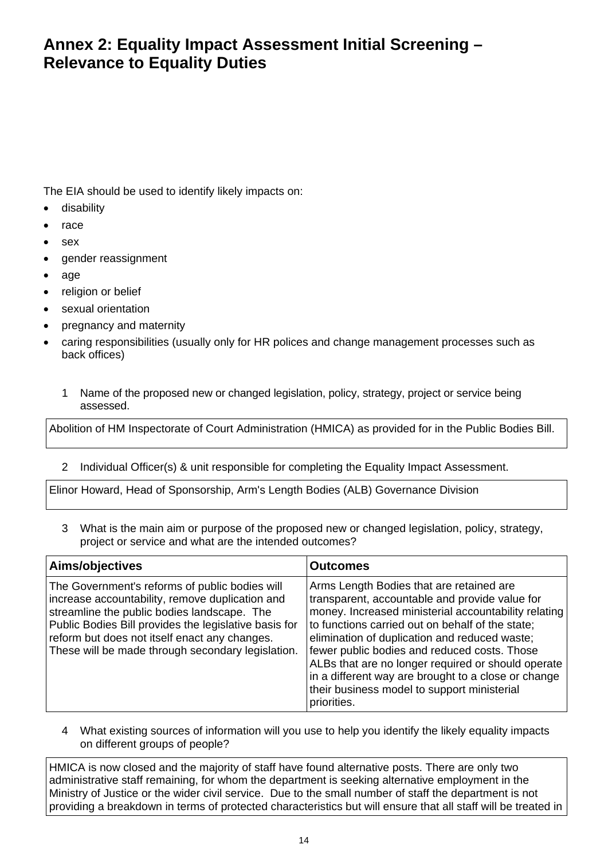# **Annex 2: Equality Impact Assessment Initial Screening – Relevance to Equality Duties**

The EIA should be used to identify likely impacts on:

- disability
- race
- sex
- gender reassignment
- age
- religion or belief
- sexual orientation
- pregnancy and maternity
- caring responsibilities (usually only for HR polices and change management processes such as back offices)
	- 1 Name of the proposed new or changed legislation, policy, strategy, project or service being assessed.

Abolition of HM Inspectorate of Court Administration (HMICA) as provided for in the Public Bodies Bill.

2 Individual Officer(s) & unit responsible for completing the Equality Impact Assessment.

Elinor Howard, Head of Sponsorship, Arm's Length Bodies (ALB) Governance Division

3 What is the main aim or purpose of the proposed new or changed legislation, policy, strategy, project or service and what are the intended outcomes?

| Aims/objectives                                                                                                                                                                                                                                                                                                 | <b>Outcomes</b>                                                                                                                                                                                                                                                                                                                                                                                                                                                                    |
|-----------------------------------------------------------------------------------------------------------------------------------------------------------------------------------------------------------------------------------------------------------------------------------------------------------------|------------------------------------------------------------------------------------------------------------------------------------------------------------------------------------------------------------------------------------------------------------------------------------------------------------------------------------------------------------------------------------------------------------------------------------------------------------------------------------|
| The Government's reforms of public bodies will<br>increase accountability, remove duplication and<br>streamline the public bodies landscape. The<br>Public Bodies Bill provides the legislative basis for<br>reform but does not itself enact any changes.<br>These will be made through secondary legislation. | Arms Length Bodies that are retained are<br>transparent, accountable and provide value for<br>money. Increased ministerial accountability relating<br>to functions carried out on behalf of the state;<br>elimination of duplication and reduced waste;<br>fewer public bodies and reduced costs. Those<br>ALBs that are no longer required or should operate<br>in a different way are brought to a close or change<br>their business model to support ministerial<br>priorities. |

4 What existing sources of information will you use to help you identify the likely equality impacts on different groups of people?

HMICA is now closed and the majority of staff have found alternative posts. There are only two administrative staff remaining, for whom the department is seeking alternative employment in the Ministry of Justice or the wider civil service. Due to the small number of staff the department is not providing a breakdown in terms of protected characteristics but will ensure that all staff will be treated in